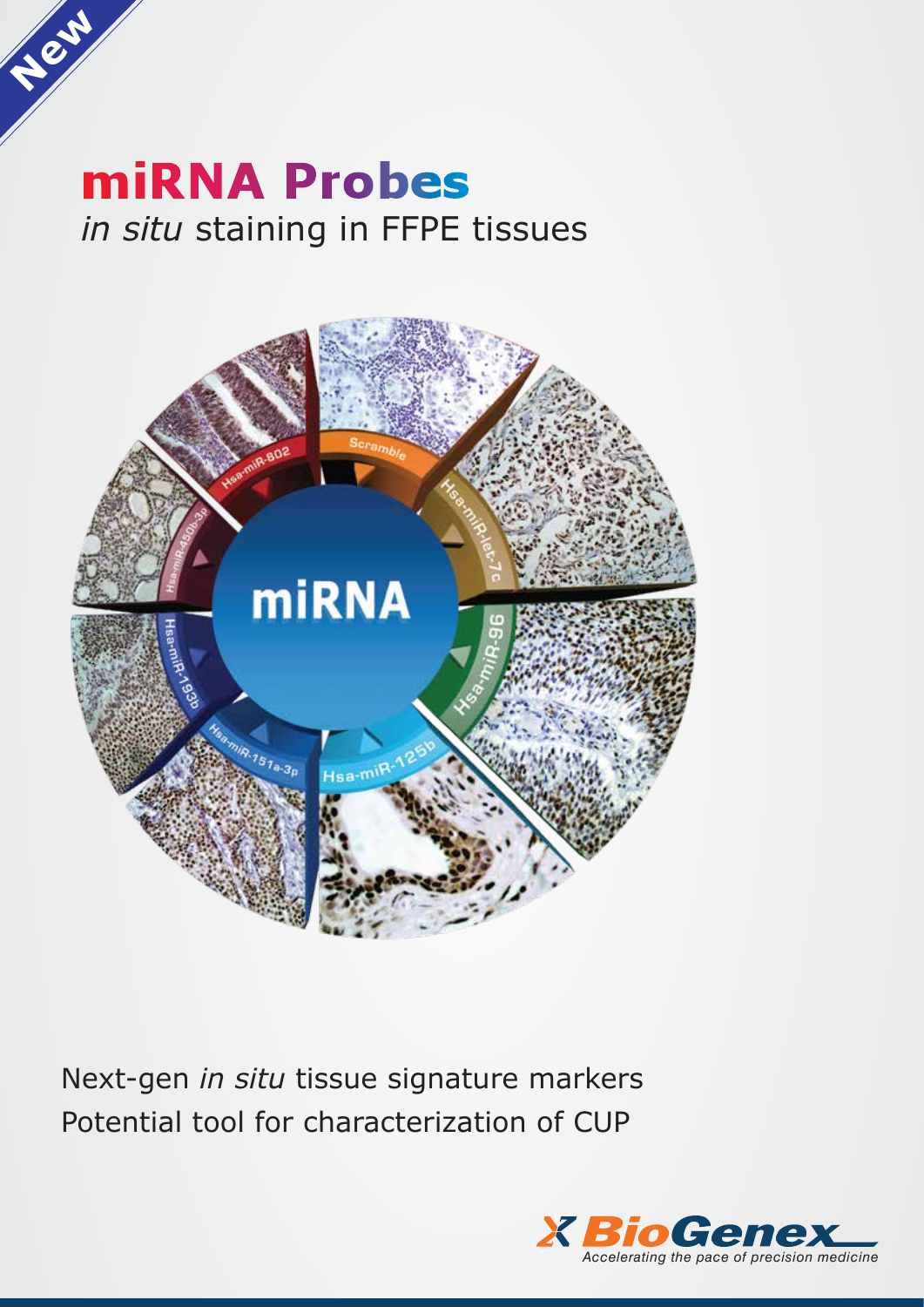# **miRNA Probes** *in situ* staining in FFPE tissues

**New**



Next-gen *in situ* tissue signature markers Potential tool for characterization of CUP

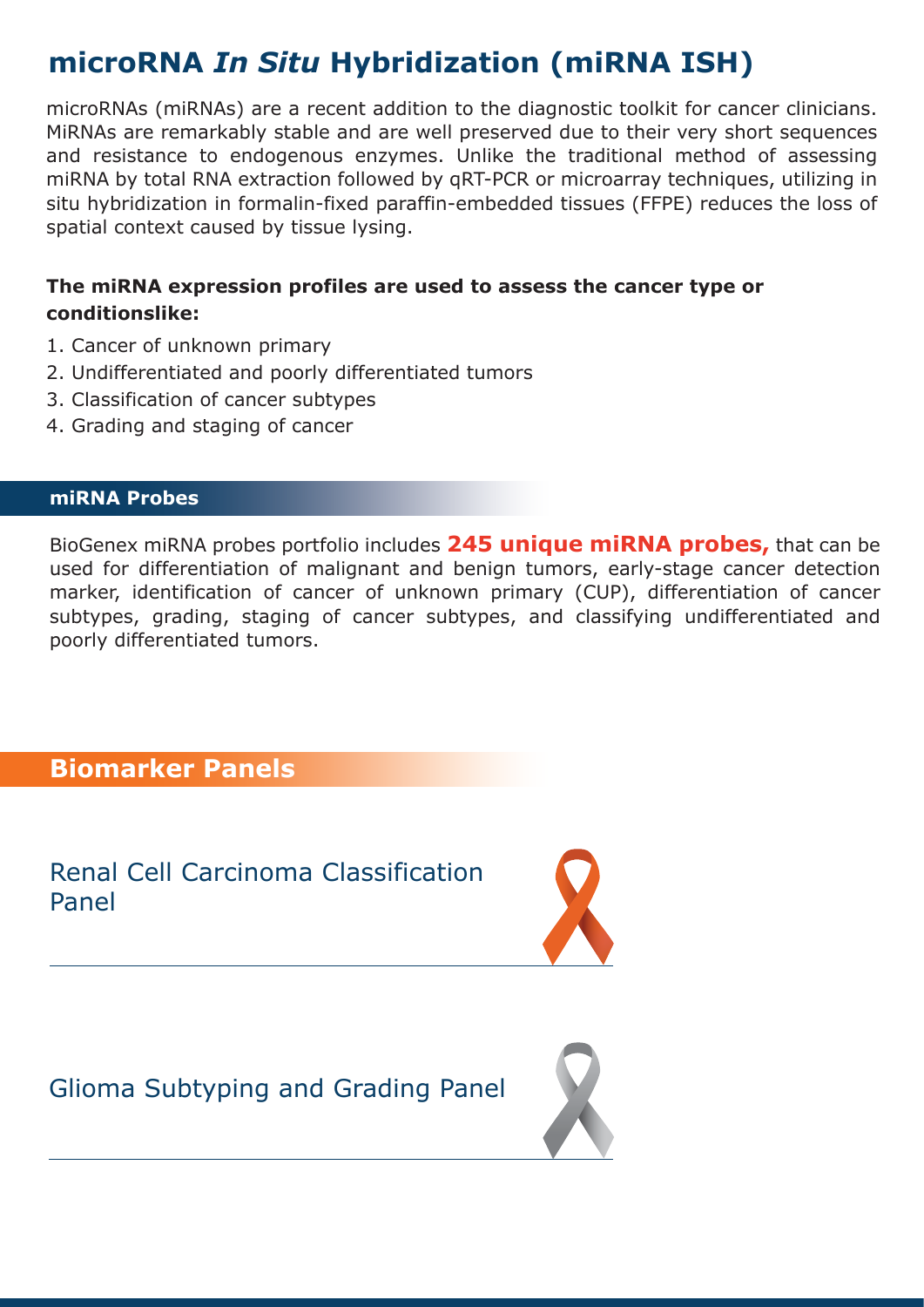# **microRNA** *In Situ* **Hybridization (miRNA ISH)**

microRNAs (miRNAs) are a recent addition to the diagnostic toolkit for cancer clinicians. MiRNAs are remarkably stable and are well preserved due to their very short sequences and resistance to endogenous enzymes. Unlike the traditional method of assessing miRNA by total RNA extraction followed by qRT-PCR or microarray techniques, utilizing in situ hybridization in formalin-fixed paraffin-embedded tissues (FFPE) reduces the loss of spatial context caused by tissue lysing.

#### **The miRNA expression profiles are used to assess the cancer type or conditionslike:**

- 1. Cancer of unknown primary
- 2. Undifferentiated and poorly differentiated tumors
- 3. Classification of cancer subtypes
- 4. Grading and staging of cancer

#### **miRNA Probes**

BioGenex miRNA probes portfolio includes **245 unique miRNA probes,** that can be used for differentiation of malignant and benign tumors, early-stage cancer detection marker, identification of cancer of unknown primary (CUP), differentiation of cancer subtypes, grading, staging of cancer subtypes, and classifying undifferentiated and poorly differentiated tumors.

#### **Biomarker Panels**

Renal Cell Carcinoma Classification Panel



Glioma Subtyping and Grading Panel

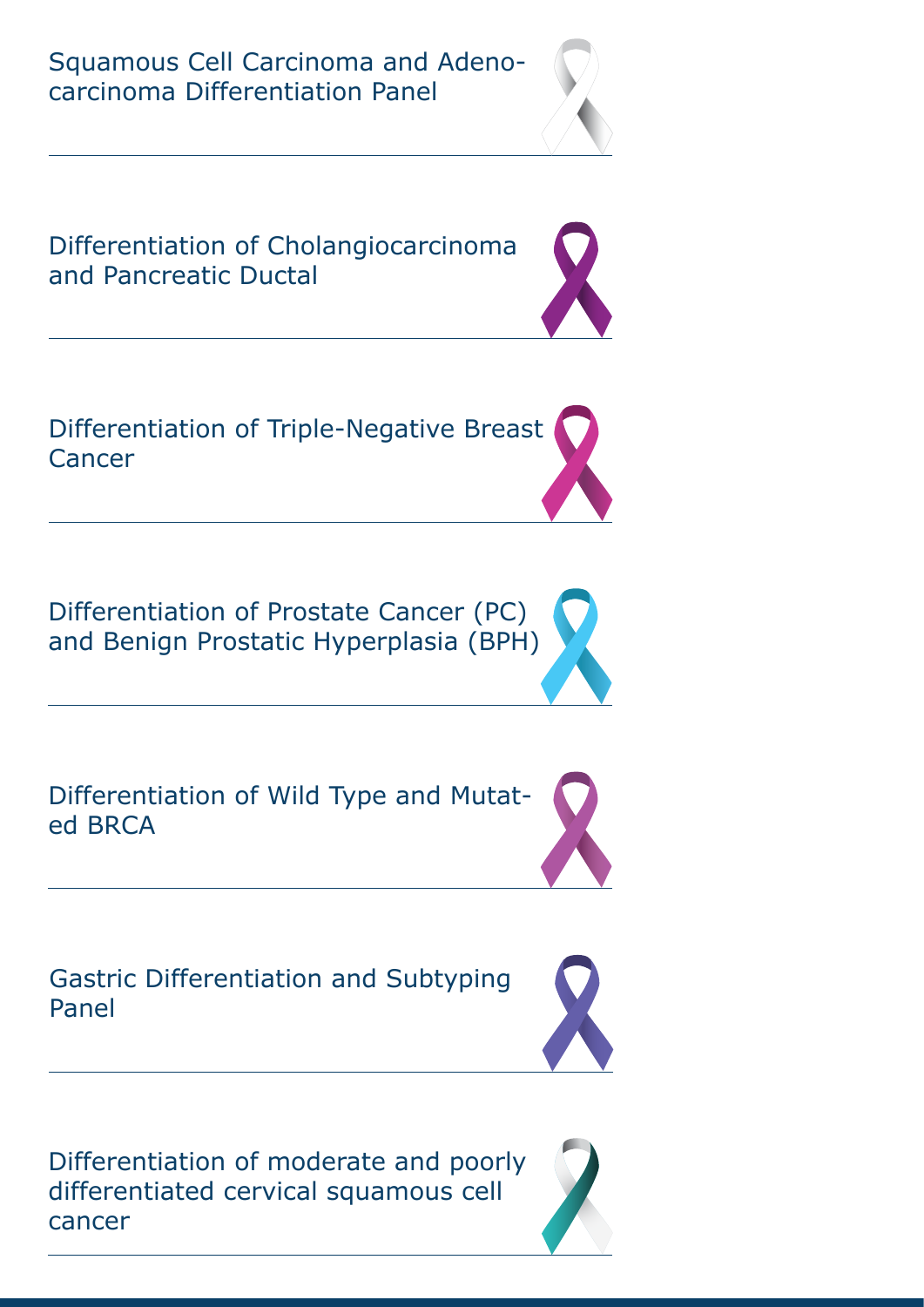Squamous Cell Carcinoma and Adenocarcinoma Differentiation Panel





Differentiation of Prostate Cancer (PC) and Benign Prostatic Hyperplasia (BPH)



Gastric Differentiation and Subtyping Panel



Differentiation of moderate and poorly differentiated cervical squamous cell cancer